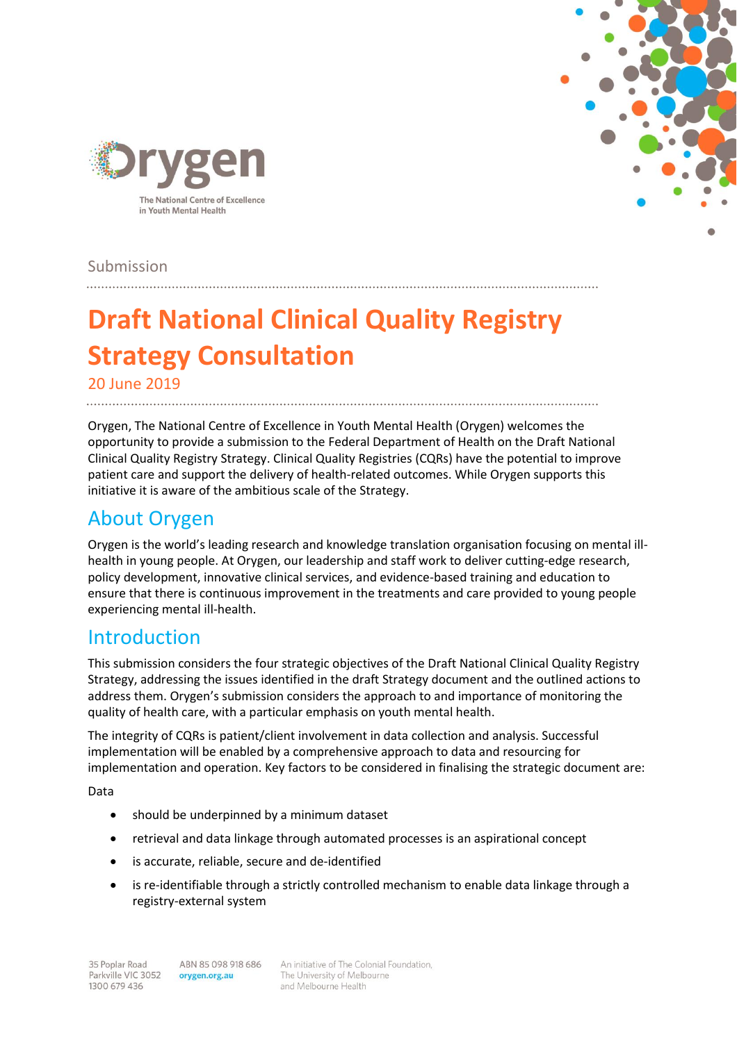



Submission

# **Draft National Clinical Quality Registry Strategy Consultation**

20 June 2019 

Orygen, The National Centre of Excellence in Youth Mental Health (Orygen) welcomes the opportunity to provide a submission to the Federal Department of Health on the Draft National Clinical Quality Registry Strategy. Clinical Quality Registries (CQRs) have the potential to improve patient care and support the delivery of health-related outcomes. While Orygen supports this initiative it is aware of the ambitious scale of the Strategy.

# About Orygen

Orygen is the world's leading research and knowledge translation organisation focusing on mental illhealth in young people. At Orygen, our leadership and staff work to deliver cutting-edge research, policy development, innovative clinical services, and evidence-based training and education to ensure that there is continuous improvement in the treatments and care provided to young people experiencing mental ill-health.

# Introduction

This submission considers the four strategic objectives of the Draft National Clinical Quality Registry Strategy, addressing the issues identified in the draft Strategy document and the outlined actions to address them. Orygen's submission considers the approach to and importance of monitoring the quality of health care, with a particular emphasis on youth mental health.

The integrity of CQRs is patient/client involvement in data collection and analysis. Successful implementation will be enabled by a comprehensive approach to data and resourcing for implementation and operation. Key factors to be considered in finalising the strategic document are:

Data

- should be underpinned by a minimum dataset
- retrieval and data linkage through automated processes is an aspirational concept
- is accurate, reliable, secure and de-identified
- is re-identifiable through a strictly controlled mechanism to enable data linkage through a registry-external system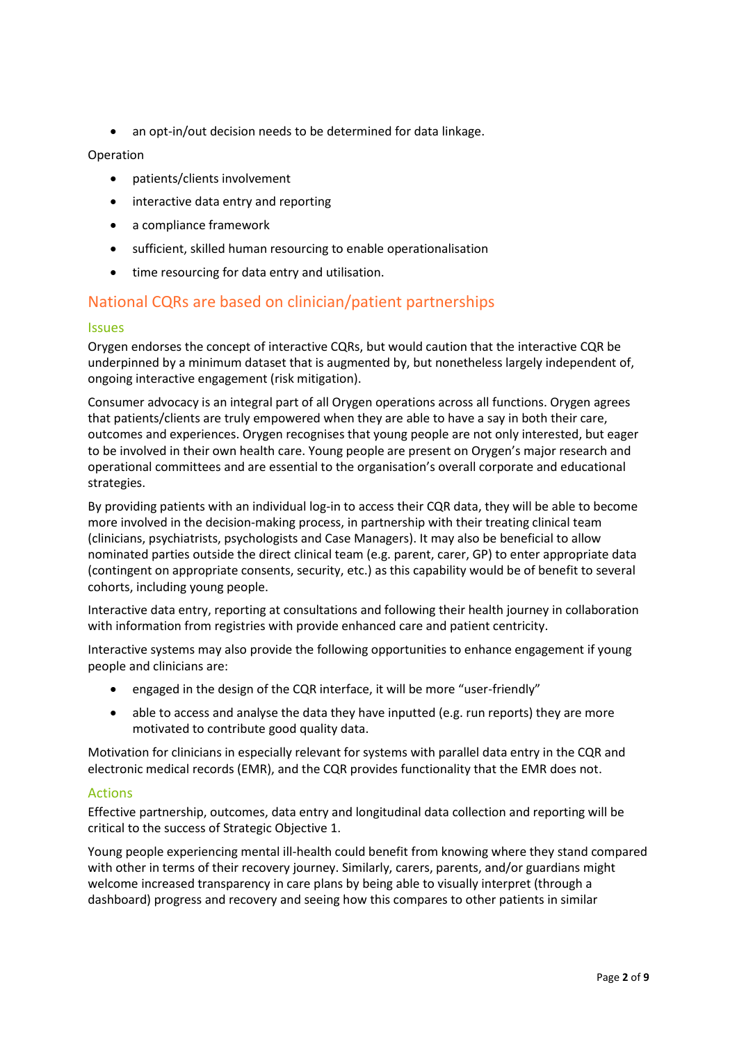an opt-in/out decision needs to be determined for data linkage.

#### Operation

- patients/clients involvement
- interactive data entry and reporting
- a compliance framework
- sufficient, skilled human resourcing to enable operationalisation
- $\bullet$  time resourcing for data entry and utilisation.

## National CQRs are based on clinician/patient partnerships

#### Issues

Orygen endorses the concept of interactive CQRs, but would caution that the interactive CQR be underpinned by a minimum dataset that is augmented by, but nonetheless largely independent of, ongoing interactive engagement (risk mitigation).

Consumer advocacy is an integral part of all Orygen operations across all functions. Orygen agrees that patients/clients are truly empowered when they are able to have a say in both their care, outcomes and experiences. Orygen recognises that young people are not only interested, but eager to be involved in their own health care. Young people are present on Orygen's major research and operational committees and are essential to the organisation's overall corporate and educational strategies.

By providing patients with an individual log-in to access their CQR data, they will be able to become more involved in the decision-making process, in partnership with their treating clinical team (clinicians, psychiatrists, psychologists and Case Managers). It may also be beneficial to allow nominated parties outside the direct clinical team (e.g. parent, carer, GP) to enter appropriate data (contingent on appropriate consents, security, etc.) as this capability would be of benefit to several cohorts, including young people.

Interactive data entry, reporting at consultations and following their health journey in collaboration with information from registries with provide enhanced care and patient centricity.

Interactive systems may also provide the following opportunities to enhance engagement if young people and clinicians are:

- engaged in the design of the CQR interface, it will be more "user-friendly"
- able to access and analyse the data they have inputted (e.g. run reports) they are more motivated to contribute good quality data.

Motivation for clinicians in especially relevant for systems with parallel data entry in the CQR and electronic medical records (EMR), and the CQR provides functionality that the EMR does not.

#### Actions

Effective partnership, outcomes, data entry and longitudinal data collection and reporting will be critical to the success of Strategic Objective 1.

Young people experiencing mental ill-health could benefit from knowing where they stand compared with other in terms of their recovery journey. Similarly, carers, parents, and/or guardians might welcome increased transparency in care plans by being able to visually interpret (through a dashboard) progress and recovery and seeing how this compares to other patients in similar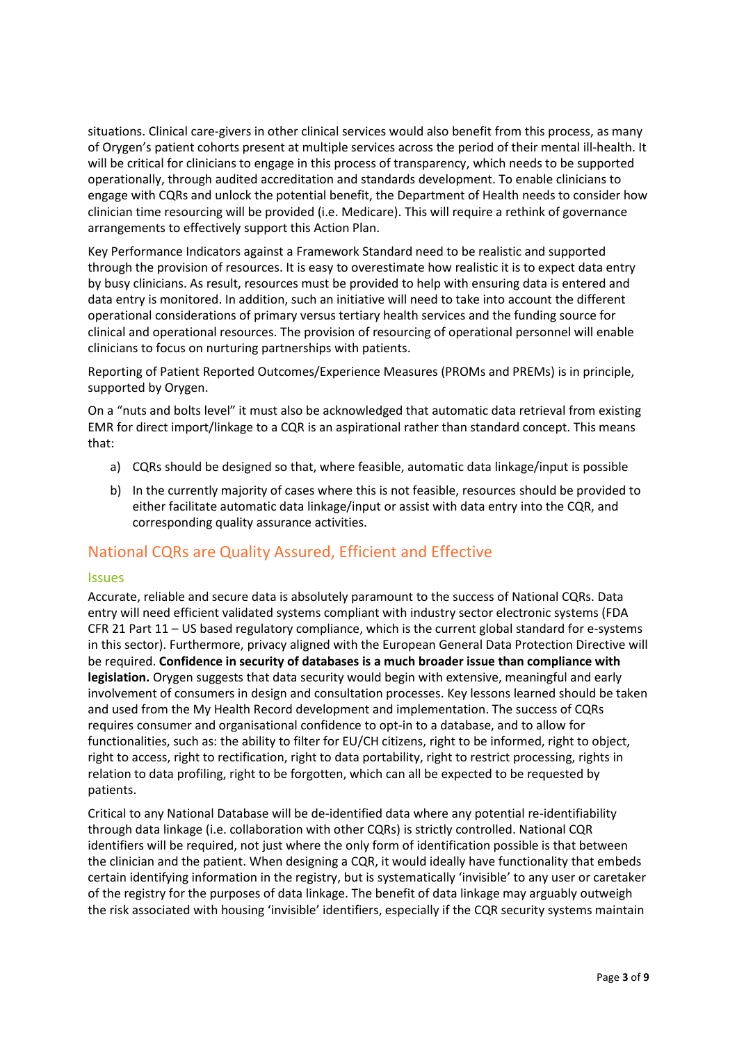situations. Clinical care-givers in other clinical services would also benefit from this process, as many of Orygen's patient cohorts present at multiple services across the period of their mental ill-health. It will be critical for clinicians to engage in this process of transparency, which needs to be supported operationally, through audited accreditation and standards development. To enable clinicians to engage with CQRs and unlock the potential benefit, the Department of Health needs to consider how clinician time resourcing will be provided (i.e. Medicare). This will require a rethink of governance arrangements to effectively support this Action Plan.

Key Performance Indicators against a Framework Standard need to be realistic and supported through the provision of resources. It is easy to overestimate how realistic it is to expect data entry by busy clinicians. As result, resources must be provided to help with ensuring data is entered and data entry is monitored. In addition, such an initiative will need to take into account the different operational considerations of primary versus tertiary health services and the funding source for clinical and operational resources. The provision of resourcing of operational personnel will enable clinicians to focus on nurturing partnerships with patients.

Reporting of Patient Reported Outcomes/Experience Measures (PROMs and PREMs) is in principle, supported by Orygen.

On a "nuts and bolts level" it must also be acknowledged that automatic data retrieval from existing EMR for direct import/linkage to a CQR is an aspirational rather than standard concept. This means that:

- a) CQRs should be designed so that, where feasible, automatic data linkage/input is possible
- b) In the currently majority of cases where this is not feasible, resources should be provided to either facilitate automatic data linkage/input or assist with data entry into the CQR, and corresponding quality assurance activities.

## National CQRs are Quality Assured, Efficient and Effective

#### Issues

Accurate, reliable and secure data is absolutely paramount to the success of National CQRs. Data entry will need efficient validated systems compliant with industry sector electronic systems (FDA CFR 21 Part 11 – US based regulatory compliance, which is the current global standard for e-systems in this sector). Furthermore, privacy aligned with the European General Data Protection Directive will be required. **Confidence in security of databases is a much broader issue than compliance with legislation.** Orygen suggests that data security would begin with extensive, meaningful and early involvement of consumers in design and consultation processes. Key lessons learned should be taken and used from the My Health Record development and implementation. The success of CQRs requires consumer and organisational confidence to opt-in to a database, and to allow for functionalities, such as: the ability to filter for EU/CH citizens, right to be informed, right to object, right to access, right to rectification, right to data portability, right to restrict processing, rights in relation to data profiling, right to be forgotten, which can all be expected to be requested by patients.

Critical to any National Database will be de-identified data where any potential re-identifiability through data linkage (i.e. collaboration with other CQRs) is strictly controlled. National CQR identifiers will be required, not just where the only form of identification possible is that between the clinician and the patient. When designing a CQR, it would ideally have functionality that embeds certain identifying information in the registry, but is systematically 'invisible' to any user or caretaker of the registry for the purposes of data linkage. The benefit of data linkage may arguably outweigh the risk associated with housing 'invisible' identifiers, especially if the CQR security systems maintain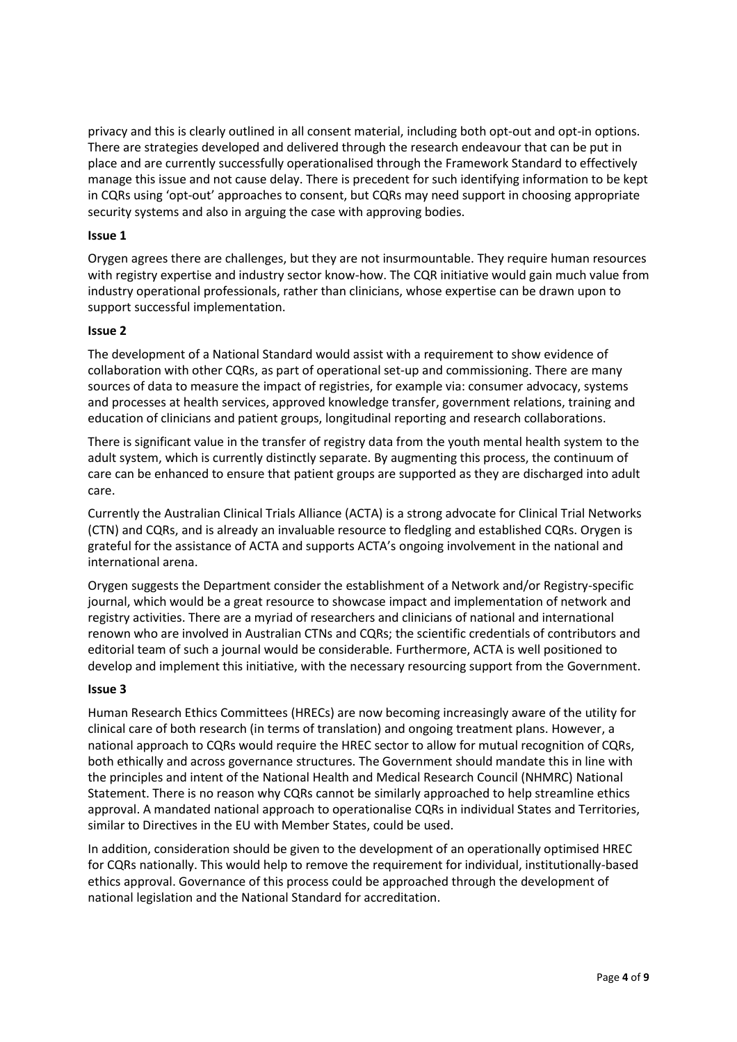privacy and this is clearly outlined in all consent material, including both opt-out and opt-in options. There are strategies developed and delivered through the research endeavour that can be put in place and are currently successfully operationalised through the Framework Standard to effectively manage this issue and not cause delay. There is precedent for such identifying information to be kept in CQRs using 'opt-out' approaches to consent, but CQRs may need support in choosing appropriate security systems and also in arguing the case with approving bodies.

#### **Issue 1**

Orygen agrees there are challenges, but they are not insurmountable. They require human resources with registry expertise and industry sector know-how. The CQR initiative would gain much value from industry operational professionals, rather than clinicians, whose expertise can be drawn upon to support successful implementation.

#### **Issue 2**

The development of a National Standard would assist with a requirement to show evidence of collaboration with other CQRs, as part of operational set-up and commissioning. There are many sources of data to measure the impact of registries, for example via: consumer advocacy, systems and processes at health services, approved knowledge transfer, government relations, training and education of clinicians and patient groups, longitudinal reporting and research collaborations.

There is significant value in the transfer of registry data from the youth mental health system to the adult system, which is currently distinctly separate. By augmenting this process, the continuum of care can be enhanced to ensure that patient groups are supported as they are discharged into adult care.

Currently the Australian Clinical Trials Alliance (ACTA) is a strong advocate for Clinical Trial Networks (CTN) and CQRs, and is already an invaluable resource to fledgling and established CQRs. Orygen is grateful for the assistance of ACTA and supports ACTA's ongoing involvement in the national and international arena.

Orygen suggests the Department consider the establishment of a Network and/or Registry-specific journal, which would be a great resource to showcase impact and implementation of network and registry activities. There are a myriad of researchers and clinicians of national and international renown who are involved in Australian CTNs and CQRs; the scientific credentials of contributors and editorial team of such a journal would be considerable. Furthermore, ACTA is well positioned to develop and implement this initiative, with the necessary resourcing support from the Government.

#### **Issue 3**

Human Research Ethics Committees (HRECs) are now becoming increasingly aware of the utility for clinical care of both research (in terms of translation) and ongoing treatment plans. However, a national approach to CQRs would require the HREC sector to allow for mutual recognition of CQRs, both ethically and across governance structures. The Government should mandate this in line with the principles and intent of the National Health and Medical Research Council (NHMRC) National Statement. There is no reason why CQRs cannot be similarly approached to help streamline ethics approval. A mandated national approach to operationalise CQRs in individual States and Territories, similar to Directives in the EU with Member States, could be used.

In addition, consideration should be given to the development of an operationally optimised HREC for CQRs nationally. This would help to remove the requirement for individual, institutionally-based ethics approval. Governance of this process could be approached through the development of national legislation and the National Standard for accreditation.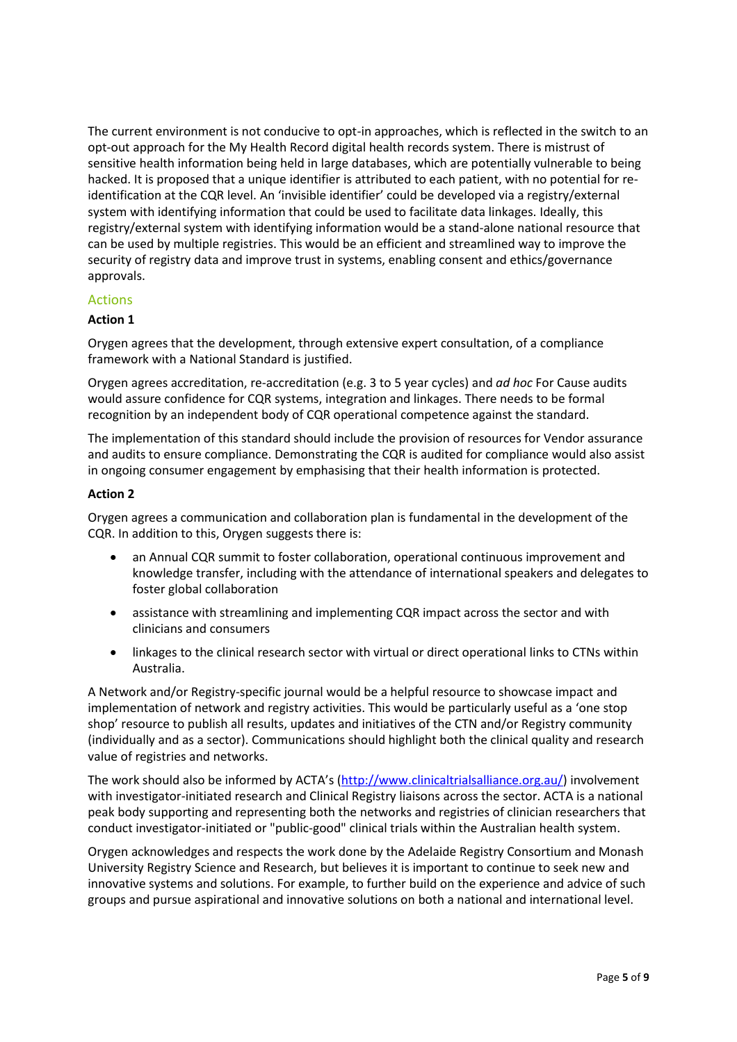The current environment is not conducive to opt-in approaches, which is reflected in the switch to an opt-out approach for the My Health Record digital health records system. There is mistrust of sensitive health information being held in large databases, which are potentially vulnerable to being hacked. It is proposed that a unique identifier is attributed to each patient, with no potential for reidentification at the CQR level. An 'invisible identifier' could be developed via a registry/external system with identifying information that could be used to facilitate data linkages. Ideally, this registry/external system with identifying information would be a stand-alone national resource that can be used by multiple registries. This would be an efficient and streamlined way to improve the security of registry data and improve trust in systems, enabling consent and ethics/governance approvals.

#### Actions

#### **Action 1**

Orygen agrees that the development, through extensive expert consultation, of a compliance framework with a National Standard is justified.

Orygen agrees accreditation, re-accreditation (e.g. 3 to 5 year cycles) and *ad hoc* For Cause audits would assure confidence for CQR systems, integration and linkages. There needs to be formal recognition by an independent body of CQR operational competence against the standard.

The implementation of this standard should include the provision of resources for Vendor assurance and audits to ensure compliance. Demonstrating the CQR is audited for compliance would also assist in ongoing consumer engagement by emphasising that their health information is protected.

#### **Action 2**

Orygen agrees a communication and collaboration plan is fundamental in the development of the CQR. In addition to this, Orygen suggests there is:

- an Annual CQR summit to foster collaboration, operational continuous improvement and knowledge transfer, including with the attendance of international speakers and delegates to foster global collaboration
- assistance with streamlining and implementing CQR impact across the sector and with clinicians and consumers
- linkages to the clinical research sector with virtual or direct operational links to CTNs within Australia.

A Network and/or Registry-specific journal would be a helpful resource to showcase impact and implementation of network and registry activities. This would be particularly useful as a 'one stop shop' resource to publish all results, updates and initiatives of the CTN and/or Registry community (individually and as a sector). Communications should highlight both the clinical quality and research value of registries and networks.

The work should also be informed by ACTA's ([http://www.clinicaltrialsalliance.org.au/\)](http://www.clinicaltrialsalliance.org.au/) involvement with investigator-initiated research and Clinical Registry liaisons across the sector. ACTA is a national peak body supporting and representing both the networks and registries of clinician researchers that conduct investigator-initiated or "public-good" clinical trials within the Australian health system.

Orygen acknowledges and respects the work done by the Adelaide Registry Consortium and Monash University Registry Science and Research, but believes it is important to continue to seek new and innovative systems and solutions. For example, to further build on the experience and advice of such groups and pursue aspirational and innovative solutions on both a national and international level.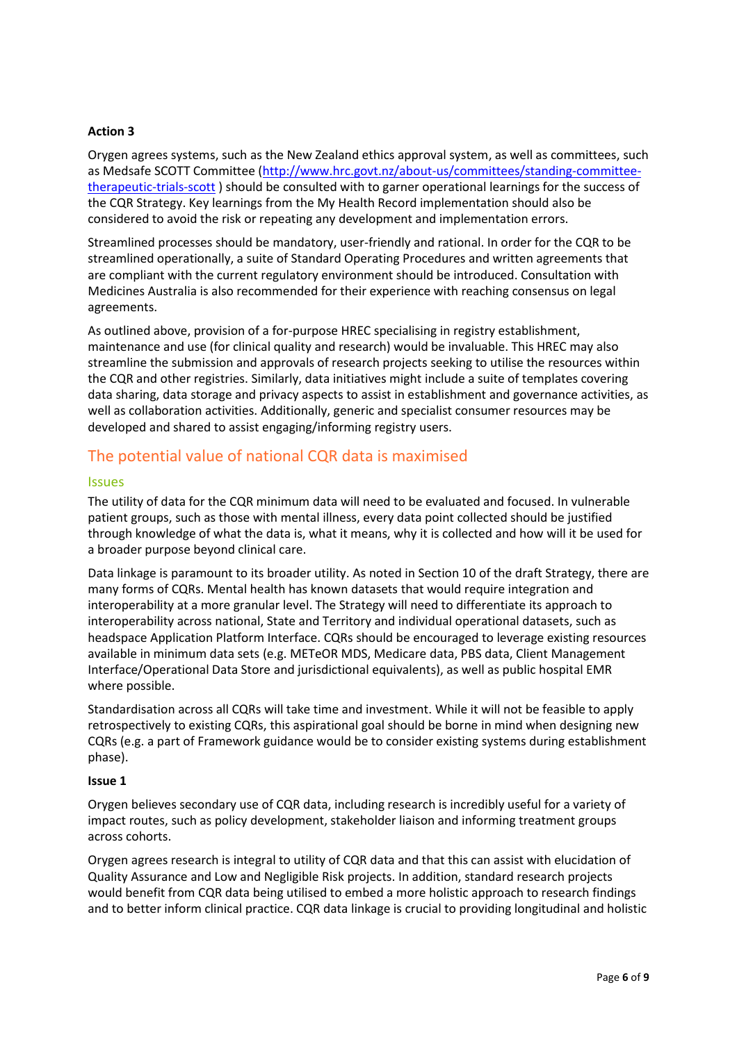#### **Action 3**

Orygen agrees systems, such as the New Zealand ethics approval system, as well as committees, such as Medsafe SCOTT Committee [\(http://www.hrc.govt.nz/about-us/committees/standing-committee](http://www.hrc.govt.nz/about-us/committees/standing-committee-therapeutic-trials-scott)[therapeutic-trials-scott](http://www.hrc.govt.nz/about-us/committees/standing-committee-therapeutic-trials-scott) ) should be consulted with to garner operational learnings for the success of the CQR Strategy. Key learnings from the My Health Record implementation should also be considered to avoid the risk or repeating any development and implementation errors.

Streamlined processes should be mandatory, user-friendly and rational. In order for the CQR to be streamlined operationally, a suite of Standard Operating Procedures and written agreements that are compliant with the current regulatory environment should be introduced. Consultation with Medicines Australia is also recommended for their experience with reaching consensus on legal agreements.

As outlined above, provision of a for-purpose HREC specialising in registry establishment, maintenance and use (for clinical quality and research) would be invaluable. This HREC may also streamline the submission and approvals of research projects seeking to utilise the resources within the CQR and other registries. Similarly, data initiatives might include a suite of templates covering data sharing, data storage and privacy aspects to assist in establishment and governance activities, as well as collaboration activities. Additionally, generic and specialist consumer resources may be developed and shared to assist engaging/informing registry users.

## The potential value of national CQR data is maximised

#### Issues

The utility of data for the CQR minimum data will need to be evaluated and focused. In vulnerable patient groups, such as those with mental illness, every data point collected should be justified through knowledge of what the data is, what it means, why it is collected and how will it be used for a broader purpose beyond clinical care.

Data linkage is paramount to its broader utility. As noted in Section 10 of the draft Strategy, there are many forms of CQRs. Mental health has known datasets that would require integration and interoperability at a more granular level. The Strategy will need to differentiate its approach to interoperability across national, State and Territory and individual operational datasets, such as headspace Application Platform Interface. CQRs should be encouraged to leverage existing resources available in minimum data sets (e.g. METeOR MDS, Medicare data, PBS data, Client Management Interface/Operational Data Store and jurisdictional equivalents), as well as public hospital EMR where possible.

Standardisation across all CQRs will take time and investment. While it will not be feasible to apply retrospectively to existing CQRs, this aspirational goal should be borne in mind when designing new CQRs (e.g. a part of Framework guidance would be to consider existing systems during establishment phase).

#### **Issue 1**

Orygen believes secondary use of CQR data, including research is incredibly useful for a variety of impact routes, such as policy development, stakeholder liaison and informing treatment groups across cohorts.

Orygen agrees research is integral to utility of CQR data and that this can assist with elucidation of Quality Assurance and Low and Negligible Risk projects. In addition, standard research projects would benefit from CQR data being utilised to embed a more holistic approach to research findings and to better inform clinical practice. CQR data linkage is crucial to providing longitudinal and holistic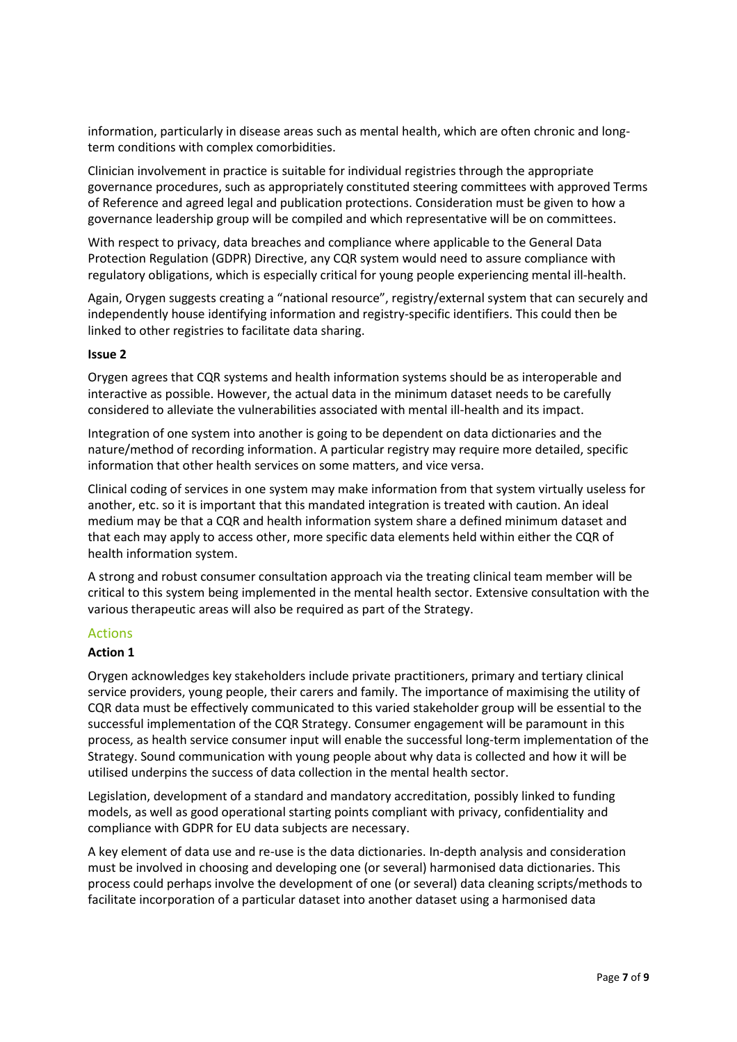information, particularly in disease areas such as mental health, which are often chronic and longterm conditions with complex comorbidities.

Clinician involvement in practice is suitable for individual registries through the appropriate governance procedures, such as appropriately constituted steering committees with approved Terms of Reference and agreed legal and publication protections. Consideration must be given to how a governance leadership group will be compiled and which representative will be on committees.

With respect to privacy, data breaches and compliance where applicable to the General Data Protection Regulation (GDPR) Directive, any CQR system would need to assure compliance with regulatory obligations, which is especially critical for young people experiencing mental ill-health.

Again, Orygen suggests creating a "national resource", registry/external system that can securely and independently house identifying information and registry-specific identifiers. This could then be linked to other registries to facilitate data sharing.

#### **Issue 2**

Orygen agrees that CQR systems and health information systems should be as interoperable and interactive as possible. However, the actual data in the minimum dataset needs to be carefully considered to alleviate the vulnerabilities associated with mental ill-health and its impact.

Integration of one system into another is going to be dependent on data dictionaries and the nature/method of recording information. A particular registry may require more detailed, specific information that other health services on some matters, and vice versa.

Clinical coding of services in one system may make information from that system virtually useless for another, etc. so it is important that this mandated integration is treated with caution. An ideal medium may be that a CQR and health information system share a defined minimum dataset and that each may apply to access other, more specific data elements held within either the CQR of health information system.

A strong and robust consumer consultation approach via the treating clinical team member will be critical to this system being implemented in the mental health sector. Extensive consultation with the various therapeutic areas will also be required as part of the Strategy.

#### Actions

#### **Action 1**

Orygen acknowledges key stakeholders include private practitioners, primary and tertiary clinical service providers, young people, their carers and family. The importance of maximising the utility of CQR data must be effectively communicated to this varied stakeholder group will be essential to the successful implementation of the CQR Strategy. Consumer engagement will be paramount in this process, as health service consumer input will enable the successful long-term implementation of the Strategy. Sound communication with young people about why data is collected and how it will be utilised underpins the success of data collection in the mental health sector.

Legislation, development of a standard and mandatory accreditation, possibly linked to funding models, as well as good operational starting points compliant with privacy, confidentiality and compliance with GDPR for EU data subjects are necessary.

A key element of data use and re-use is the data dictionaries. In-depth analysis and consideration must be involved in choosing and developing one (or several) harmonised data dictionaries. This process could perhaps involve the development of one (or several) data cleaning scripts/methods to facilitate incorporation of a particular dataset into another dataset using a harmonised data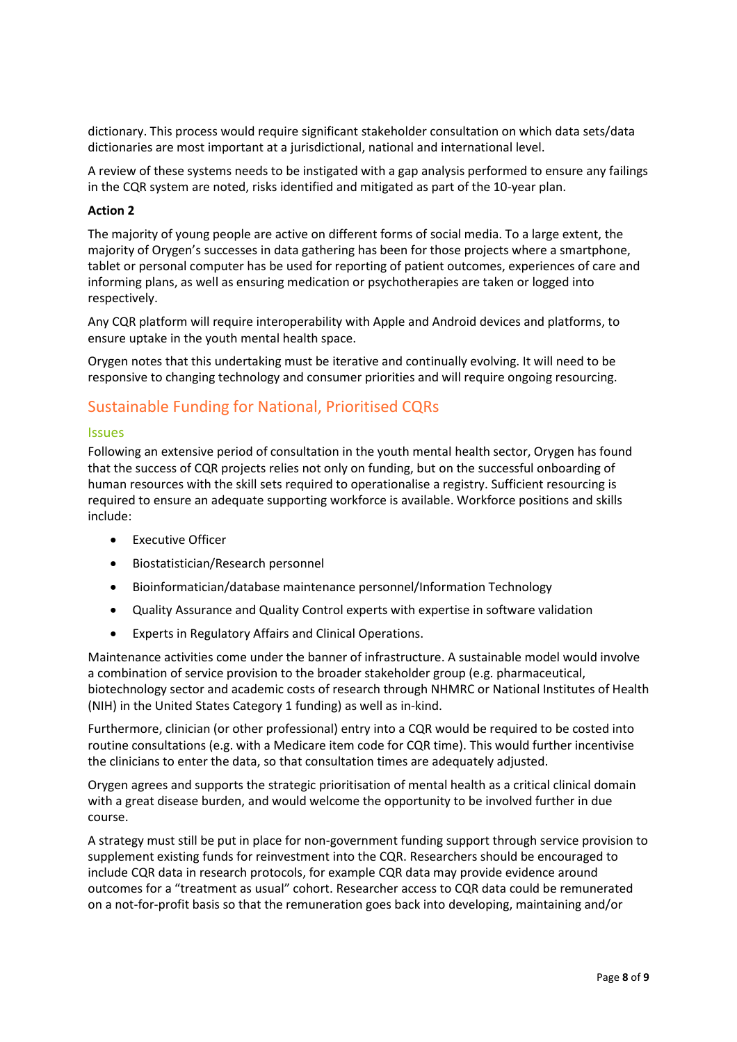dictionary. This process would require significant stakeholder consultation on which data sets/data dictionaries are most important at a jurisdictional, national and international level.

A review of these systems needs to be instigated with a gap analysis performed to ensure any failings in the CQR system are noted, risks identified and mitigated as part of the 10-year plan.

#### **Action 2**

The majority of young people are active on different forms of social media. To a large extent, the majority of Orygen's successes in data gathering has been for those projects where a smartphone, tablet or personal computer has be used for reporting of patient outcomes, experiences of care and informing plans, as well as ensuring medication or psychotherapies are taken or logged into respectively.

Any CQR platform will require interoperability with Apple and Android devices and platforms, to ensure uptake in the youth mental health space.

Orygen notes that this undertaking must be iterative and continually evolving. It will need to be responsive to changing technology and consumer priorities and will require ongoing resourcing.

## Sustainable Funding for National, Prioritised CQRs

#### Issues

Following an extensive period of consultation in the youth mental health sector, Orygen has found that the success of CQR projects relies not only on funding, but on the successful onboarding of human resources with the skill sets required to operationalise a registry. Sufficient resourcing is required to ensure an adequate supporting workforce is available. Workforce positions and skills include:

- **•** Executive Officer
- Biostatistician/Research personnel
- Bioinformatician/database maintenance personnel/Information Technology
- Quality Assurance and Quality Control experts with expertise in software validation
- Experts in Regulatory Affairs and Clinical Operations.

Maintenance activities come under the banner of infrastructure. A sustainable model would involve a combination of service provision to the broader stakeholder group (e.g. pharmaceutical, biotechnology sector and academic costs of research through NHMRC or National Institutes of Health (NIH) in the United States Category 1 funding) as well as in-kind.

Furthermore, clinician (or other professional) entry into a CQR would be required to be costed into routine consultations (e.g. with a Medicare item code for CQR time). This would further incentivise the clinicians to enter the data, so that consultation times are adequately adjusted.

Orygen agrees and supports the strategic prioritisation of mental health as a critical clinical domain with a great disease burden, and would welcome the opportunity to be involved further in due course.

A strategy must still be put in place for non-government funding support through service provision to supplement existing funds for reinvestment into the CQR. Researchers should be encouraged to include CQR data in research protocols, for example CQR data may provide evidence around outcomes for a "treatment as usual" cohort. Researcher access to CQR data could be remunerated on a not-for-profit basis so that the remuneration goes back into developing, maintaining and/or